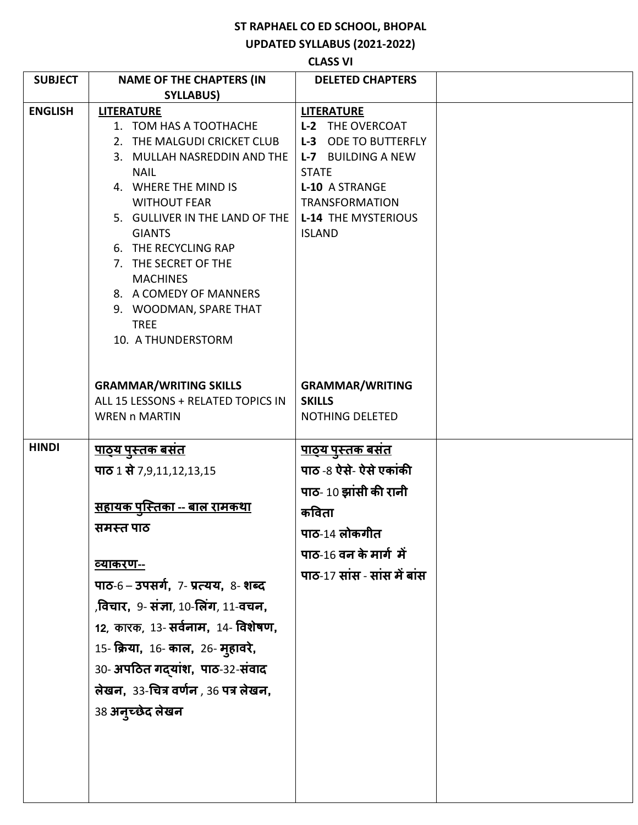## **ST RAPHAEL CO ED SCHOOL, BHOPAL**

**UPDATED SYLLABUS (2021-2022)** 

| <b>SUBJECT</b> | <b>NAME OF THE CHAPTERS (IN</b>                  | <b>DELETED CHAPTERS</b>                      |  |
|----------------|--------------------------------------------------|----------------------------------------------|--|
|                | <b>SYLLABUS)</b>                                 |                                              |  |
|                |                                                  |                                              |  |
| <b>ENGLISH</b> | <b>LITERATURE</b><br>1. TOM HAS A TOOTHACHE      | <b>LITERATURE</b><br><b>L-2 THE OVERCOAT</b> |  |
|                | 2. THE MALGUDI CRICKET CLUB                      | <b>L-3 ODE TO BUTTERFLY</b>                  |  |
|                | 3. MULLAH NASREDDIN AND THE                      | L-7 BUILDING A NEW                           |  |
|                | <b>NAIL</b>                                      | <b>STATE</b>                                 |  |
|                | 4. WHERE THE MIND IS                             | L-10 A STRANGE                               |  |
|                | <b>WITHOUT FEAR</b>                              | <b>TRANSFORMATION</b>                        |  |
|                | 5. GULLIVER IN THE LAND OF THE                   | <b>L-14 THE MYSTERIOUS</b>                   |  |
|                | <b>GIANTS</b>                                    | <b>ISLAND</b>                                |  |
|                | 6. THE RECYCLING RAP                             |                                              |  |
|                | 7. THE SECRET OF THE                             |                                              |  |
|                | <b>MACHINES</b>                                  |                                              |  |
|                | 8. A COMEDY OF MANNERS                           |                                              |  |
|                | 9. WOODMAN, SPARE THAT                           |                                              |  |
|                | <b>TREE</b>                                      |                                              |  |
|                | 10. A THUNDERSTORM                               |                                              |  |
|                |                                                  |                                              |  |
|                |                                                  |                                              |  |
|                | <b>GRAMMAR/WRITING SKILLS</b>                    | <b>GRAMMAR/WRITING</b>                       |  |
|                | ALL 15 LESSONS + RELATED TOPICS IN               | <b>SKILLS</b>                                |  |
|                | <b>WREN n MARTIN</b>                             | NOTHING DELETED                              |  |
|                |                                                  |                                              |  |
| <b>HINDI</b>   | <u>पाठ्य पुस्तक बसत</u>                          | <u>पाठ्य पुस्तक बसत</u>                      |  |
|                | पाठ 1 से 7,9,11,12,13,15                         | पाठ -8 ऐसे- ऐसे एकांकी                       |  |
|                |                                                  | पाठ- 10 झांसी की रानी                        |  |
|                | <u>सहायक पस्तिका -- बाल रामकथा</u>               | कविता                                        |  |
|                | समस्त पाठ                                        | पाठ-14 लोकगीत                                |  |
|                |                                                  | पाठ-16 वन के मार्ग में                       |  |
|                | <u>व्याकरण--</u>                                 |                                              |  |
|                | पाठ-6 – उपसर्ग, 7- प्रत्यय, 8- शब्द              | पाठ-17 सांस - सांस में बांस                  |  |
|                | ,विचार, 9- संज्ञा, 10-लिंग, 11-वचन,              |                                              |  |
|                | 12, कारक, 13- <b>सर्वनाम,</b> 14- <b>विशेषण,</b> |                                              |  |
|                | 15- क्रिया, 16- काल, 26- मुहावरे,                |                                              |  |
|                | 30- अपठित गद्यांश, पाठ-32-संवाद                  |                                              |  |
|                | लेखन, 33-चित्र वर्णन , 36 पत्र लेखन,             |                                              |  |
|                | 38 अनुच्छेद लेखन                                 |                                              |  |
|                |                                                  |                                              |  |
|                |                                                  |                                              |  |
|                |                                                  |                                              |  |
|                |                                                  |                                              |  |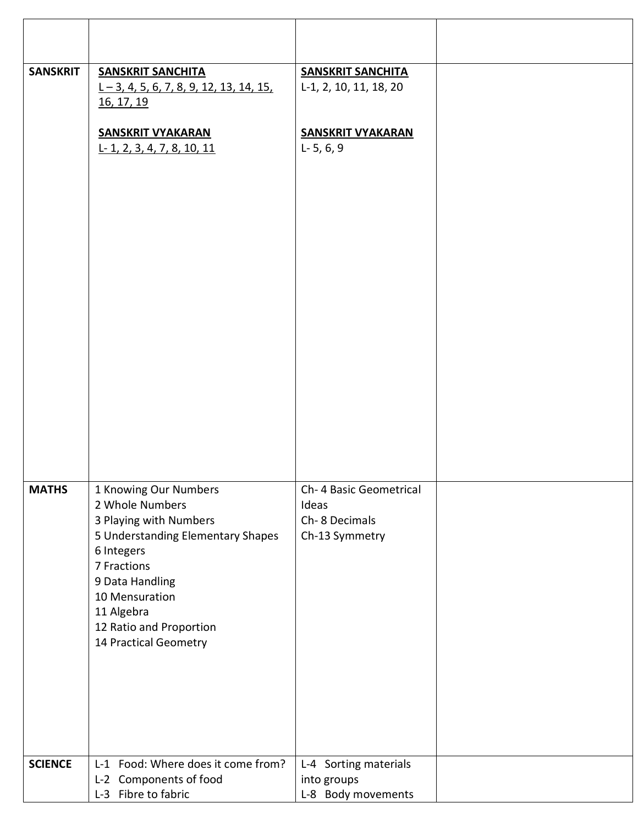| <b>SANSKRIT</b> | <b>SANSKRIT SANCHITA</b><br>$1 - 3$ , 4, 5, 6, 7, 8, 9, 12, 13, 14, 15,<br>16, 17, 19                                 | <b>SANSKRIT SANCHITA</b><br>L-1, 2, 10, 11, 18, 20                  |  |
|-----------------|-----------------------------------------------------------------------------------------------------------------------|---------------------------------------------------------------------|--|
|                 | <b>SANSKRIT VYAKARAN</b><br>$L-1$ , 2, 3, 4, 7, 8, 10, 11                                                             | <b>SANSKRIT VYAKARAN</b><br>$L - 5, 6, 9$                           |  |
|                 |                                                                                                                       |                                                                     |  |
|                 |                                                                                                                       |                                                                     |  |
|                 |                                                                                                                       |                                                                     |  |
|                 |                                                                                                                       |                                                                     |  |
|                 |                                                                                                                       |                                                                     |  |
|                 |                                                                                                                       |                                                                     |  |
| <b>MATHS</b>    | 1 Knowing Our Numbers<br>2 Whole Numbers<br>3 Playing with Numbers<br>5 Understanding Elementary Shapes<br>6 Integers | Ch- 4 Basic Geometrical<br>Ideas<br>Ch-8 Decimals<br>Ch-13 Symmetry |  |
|                 | 7 Fractions<br>9 Data Handling<br>10 Mensuration<br>11 Algebra                                                        |                                                                     |  |
|                 | 12 Ratio and Proportion<br>14 Practical Geometry                                                                      |                                                                     |  |
|                 |                                                                                                                       |                                                                     |  |
| <b>SCIENCE</b>  | L-1 Food: Where does it come from?                                                                                    | L-4 Sorting materials                                               |  |
|                 | L-2 Components of food                                                                                                | into groups                                                         |  |
|                 | L-3 Fibre to fabric                                                                                                   | L-8 Body movements                                                  |  |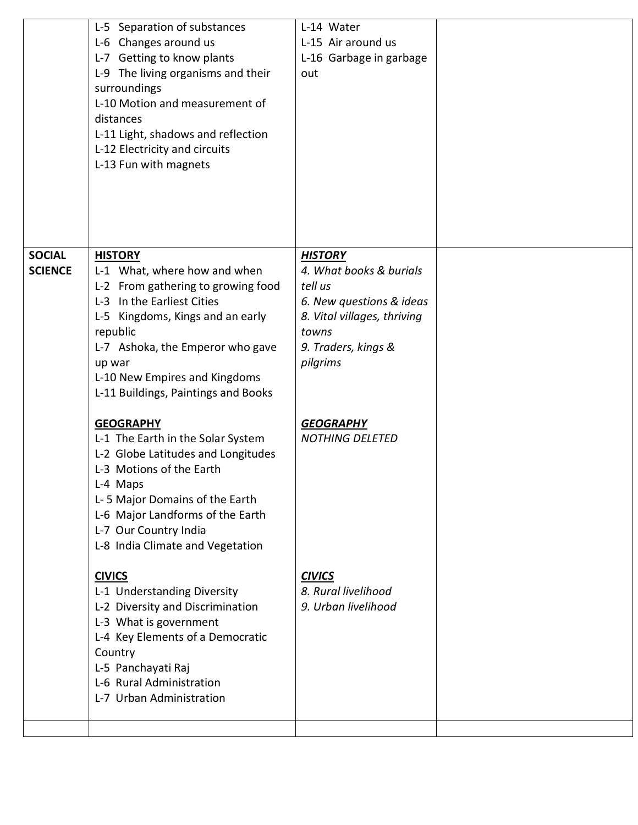|                                 | L-5 Separation of substances<br>L-6 Changes around us<br>L-7 Getting to know plants<br>L-9 The living organisms and their<br>surroundings<br>L-10 Motion and measurement of<br>distances<br>L-11 Light, shadows and reflection<br>L-12 Electricity and circuits<br>L-13 Fun with magnets | L-14 Water<br>L-15 Air around us<br>L-16 Garbage in garbage<br>out                                                                                          |  |
|---------------------------------|------------------------------------------------------------------------------------------------------------------------------------------------------------------------------------------------------------------------------------------------------------------------------------------|-------------------------------------------------------------------------------------------------------------------------------------------------------------|--|
| <b>SOCIAL</b><br><b>SCIENCE</b> | <b>HISTORY</b><br>L-1 What, where how and when<br>L-2 From gathering to growing food<br>L-3 In the Earliest Cities<br>L-5 Kingdoms, Kings and an early<br>republic<br>L-7 Ashoka, the Emperor who gave<br>up war<br>L-10 New Empires and Kingdoms<br>L-11 Buildings, Paintings and Books | <b>HISTORY</b><br>4. What books & burials<br>tell us<br>6. New questions & ideas<br>8. Vital villages, thriving<br>towns<br>9. Traders, kings &<br>pilgrims |  |
|                                 | <b>GEOGRAPHY</b><br>L-1 The Earth in the Solar System<br>L-2 Globe Latitudes and Longitudes<br>L-3 Motions of the Earth<br>L-4 Maps<br>L-5 Major Domains of the Earth<br>L-6 Major Landforms of the Earth<br>L-7 Our Country India<br>L-8 India Climate and Vegetation                   | <b>GEOGRAPHY</b><br><b>NOTHING DELETED</b>                                                                                                                  |  |
|                                 | <b>CIVICS</b><br>L-1 Understanding Diversity<br>L-2 Diversity and Discrimination<br>L-3 What is government<br>L-4 Key Elements of a Democratic<br>Country<br>L-5 Panchayati Raj<br>L-6 Rural Administration<br>L-7 Urban Administration                                                  | <b>CIVICS</b><br>8. Rural livelihood<br>9. Urban livelihood                                                                                                 |  |
|                                 |                                                                                                                                                                                                                                                                                          |                                                                                                                                                             |  |